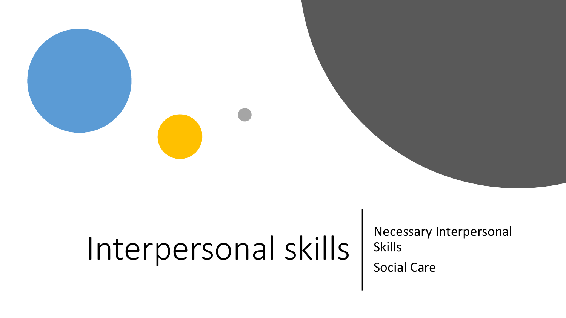# Interpersonal skills | Necessary Interpersonal

Skills

Social Care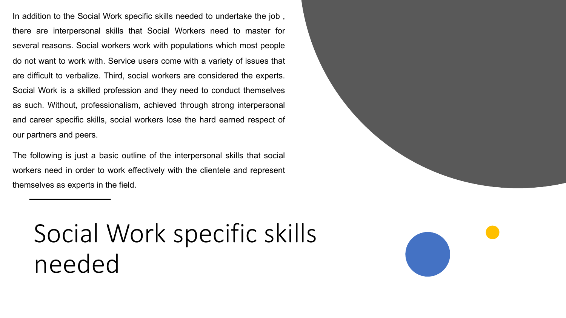In addition to the Social Work specific skills needed to undertake the job , there are interpersonal skills that Social Workers need to master for several reasons. Social workers work with populations which most people do not want to work with. Service users come with a variety of issues that are difficult to verbalize. Third, social workers are considered the experts. Social Work is a skilled profession and they need to conduct themselves as such. Without, professionalism, achieved through strong interpersonal and career specific skills, social workers lose the hard earned respect of our partners and peers.

The following is just a basic outline of the interpersonal skills that social workers need in order to work effectively with the clientele and represent themselves as experts in the field.

# Social Work specific skills needed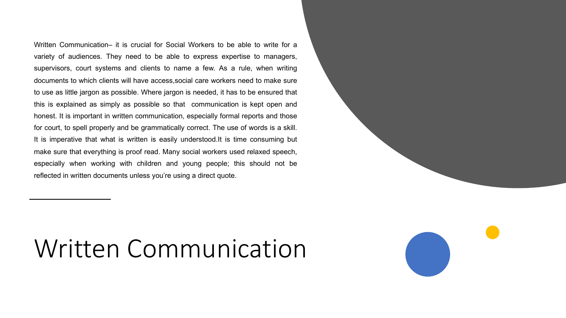Written Communication– it is crucial for Social Workers to be able to write for a variety of audiences. They need to be able to express expertise to managers, supervisors, court systems and clients to name a few. As a rule, when writing documents to which clients will have access,social care workers need to make sure to use as little jargon as possible. Where jargon is needed, it has to be ensured that this is explained as simply as possible so that communication is kept open and honest. It is important in written communication, especially formal reports and those for court, to spell properly and be grammatically correct. The use of words is a skill. It is imperative that what is written is easily understood.It is time consuming but make sure that everything is proof read. Many social workers used relaxed speech, especially when working with children and young people; this should not be reflected in written documents unless you're using a direct quote.

#### Written Communication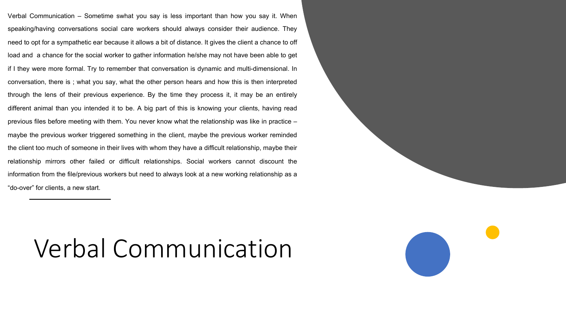Verbal Communication – Sometime swhat you say is less important than how you say it. When speaking/having conversations social care workers should always consider their audience. They need to opt for a sympathetic ear because it allows a bit of distance. It gives the client a chance to off load and a chance for the social worker to gather information he/she may not have been able to get if I they were more formal. Try to remember that conversation is dynamic and multi-dimensional. In conversation, there is ; what you say, what the other person hears and how this is then interpreted through the lens of their previous experience. By the time they process it, it may be an entirely different animal than you intended it to be. A big part of this is knowing your clients, having read previous files before meeting with them. You never know what the relationship was like in practice – maybe the previous worker triggered something in the client, maybe the previous worker reminded the client too much of someone in their lives with whom they have a difficult relationship, maybe their relationship mirrors other failed or difficult relationships. Social workers cannot discount the information from the file/previous workers but need to always look at a new working relationship as a "do-over" for clients, a new start.

#### Verbal Communication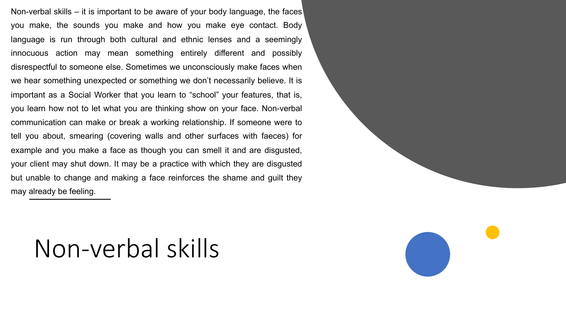Non-verbal skills – it is important to be aware of your body language, the faces you make, the sounds you make and how you make eye contact. Body language is run through both cultural and ethnic lenses and a seemingly innocuous action may mean something entirely different and possibly disrespectful to someone else. Sometimes we unconsciously make faces when we hear something unexpected or something we don't necessarily believe. It is important as a Social Worker that you learn to "school" your features, that is, you learn how not to let what you are thinking show on your face. Non-verbal communication can make or break a working relationship. If someone were to tell you about, smearing (covering walls and other surfaces with faeces) for example and you make a face as though you can smell it and are disgusted, your client may shut down. It may be a practice with which they are disgusted but unable to change and making a face reinforces the shame and guilt they may already be feeling.

#### Non-verbal skills

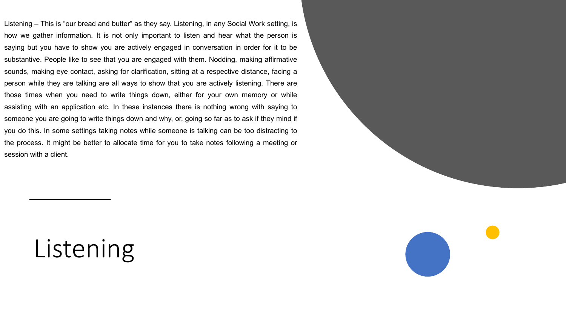Listening – This is "our bread and butter" as they say. Listening, in any Social Work setting, is how we gather information. It is not only important to listen and hear what the person is saying but you have to show you are actively engaged in conversation in order for it to be substantive. People like to see that you are engaged with them. Nodding, making affirmative sounds, making eye contact, asking for clarification, sitting at a respective distance, facing a person while they are talking are all ways to show that you are actively listening. There are those times when you need to write things down, either for your own memory or while assisting with an application etc. In these instances there is nothing wrong with saying to someone you are going to write things down and why, or, going so far as to ask if they mind if you do this. In some settings taking notes while someone is talking can be too distracting to the process. It might be better to allocate time for you to take notes following a meeting or session with a client.

### Listening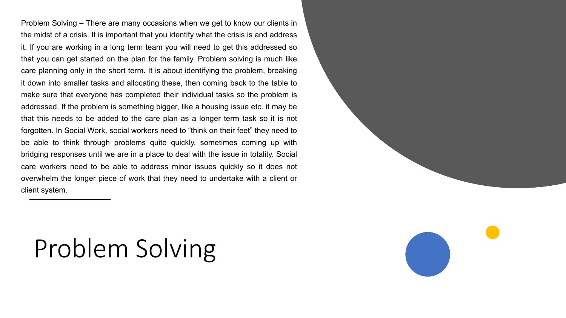Problem Solving – There are many occasions when we get to know our clients in the midst of a crisis. It is important that you identify what the crisis is and address it. If you are working in a long term team you will need to get this addressed so that you can get started on the plan for the family. Problem solving is much like care planning only in the short term. It is about identifying the problem, breaking it down into smaller tasks and allocating these, then coming back to the table to make sure that everyone has completed their individual tasks so the problem is addressed. If the problem is something bigger, like a housing issue etc. it may be that this needs to be added to the care plan as a longer term task so it is not forgotten. In Social Work, social workers need to "think on their feet" they need to be able to think through problems quite quickly, sometimes coming up with bridging responses until we are in a place to deal with the issue in totality. Social care workers need to be able to address minor issues quickly so it does not overwhelm the longer piece of work that they need to undertake with a client or client system.

# Problem Solving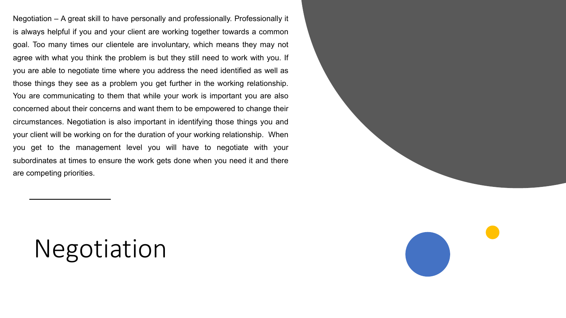Negotiation – A great skill to have personally and professionally. Professionally it is always helpful if you and your client are working together towards a common goal. Too many times our clientele are involuntary, which means they may not agree with what you think the problem is but they still need to work with you. If you are able to negotiate time where you address the need identified as well as those things they see as a problem you get further in the working relationship. You are communicating to them that while your work is important you are also concerned about their concerns and want them to be empowered to change their circumstances. Negotiation is also important in identifying those things you and your client will be working on for the duration of your working relationship. When you get to the management level you will have to negotiate with your subordinates at times to ensure the work gets done when you need it and there are competing priorities.

#### Negotiation

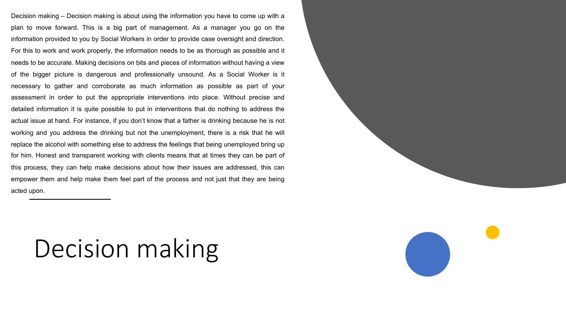Decision making – Decision making is about using the information you have to come up with a plan to move forward. This is a big part of management. As a manager you go on the information provided to you by Social Workers in order to provide case oversight and direction. For this to work and work properly, the information needs to be as thorough as possible and it needs to be accurate. Making decisions on bits and pieces of information without having a view of the bigger picture is dangerous and professionally unsound. As a Social Worker is it necessary to gather and corroborate as much information as possible as part of your assessment in order to put the appropriate interventions into place. Without precise and detailed information it is quite possible to put in interventions that do nothing to address the actual issue at hand. For instance, if you don't know that a father is drinking because he is not working and you address the drinking but not the unemployment, there is a risk that he will replace the alcohol with something else to address the feelings that being unemployed bring up for him. Honest and transparent working with clients means that at times they can be part of this process, they can help make decisions about how their issues are addressed, this can empower them and help make them feel part of the process and not just that they are being acted upon.

### Decision making

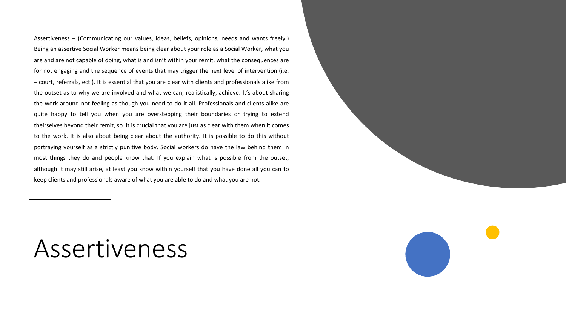Assertiveness – (Communicating our values, ideas, beliefs, opinions, needs and wants freely.) Being an assertive Social Worker means being clear about your role as a Social Worker, what you are and are not capable of doing, what is and isn't within your remit, what the consequences are for not engaging and the sequence of events that may trigger the next level of intervention (i.e. – court, referrals, ect.). It is essential that you are clear with clients and professionals alike from the outset as to why we are involved and what we can, realistically, achieve. It's about sharing the work around not feeling as though you need to do it all. Professionals and clients alike are quite happy to tell you when you are overstepping their boundaries or trying to extend theirselves beyond their remit, so it is crucial that you are just as clear with them when it comes to the work. It is also about being clear about the authority. It is possible to do this without portraying yourself as a strictly punitive body. Social workers do have the law behind them in most things they do and people know that. If you explain what is possible from the outset, although it may still arise, at least you know within yourself that you have done all you can to keep clients and professionals aware of what you are able to do and what you are not.

#### Assertiveness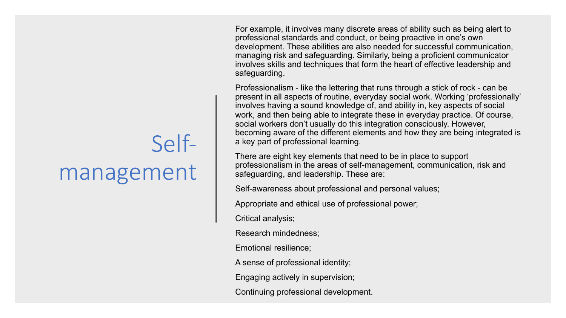For example, it involves many discrete areas of ability such as being alert to professional standards and conduct, or being proactive in one's own development. These abilities are also needed for successful communication, managing risk and safeguarding. Similarly, being a proficient communicator involves skills and techniques that form the heart of effective leadership and safeguarding.

Professionalism - like the lettering that runs through a stick of rock - can be present in all aspects of routine, everyday social work. Working 'professionally' involves having a sound knowledge of, and ability in, key aspects of social work, and then being able to integrate these in everyday practice. Of course, social workers don't usually do this integration consciously. However, becoming aware of the different elements and how they are being integrated is a key part of professional learning.

There are eight key elements that need to be in place to support professionalism in the areas of self-management, communication, risk and safeguarding, and leadership. These are:

Self-awareness about professional and personal values;

Appropriate and ethical use of professional power;

Critical analysis;

Research mindedness;

Emotional resilience;

A sense of professional identity;

Engaging actively in supervision;

Continuing professional development.

# Selfmanagement